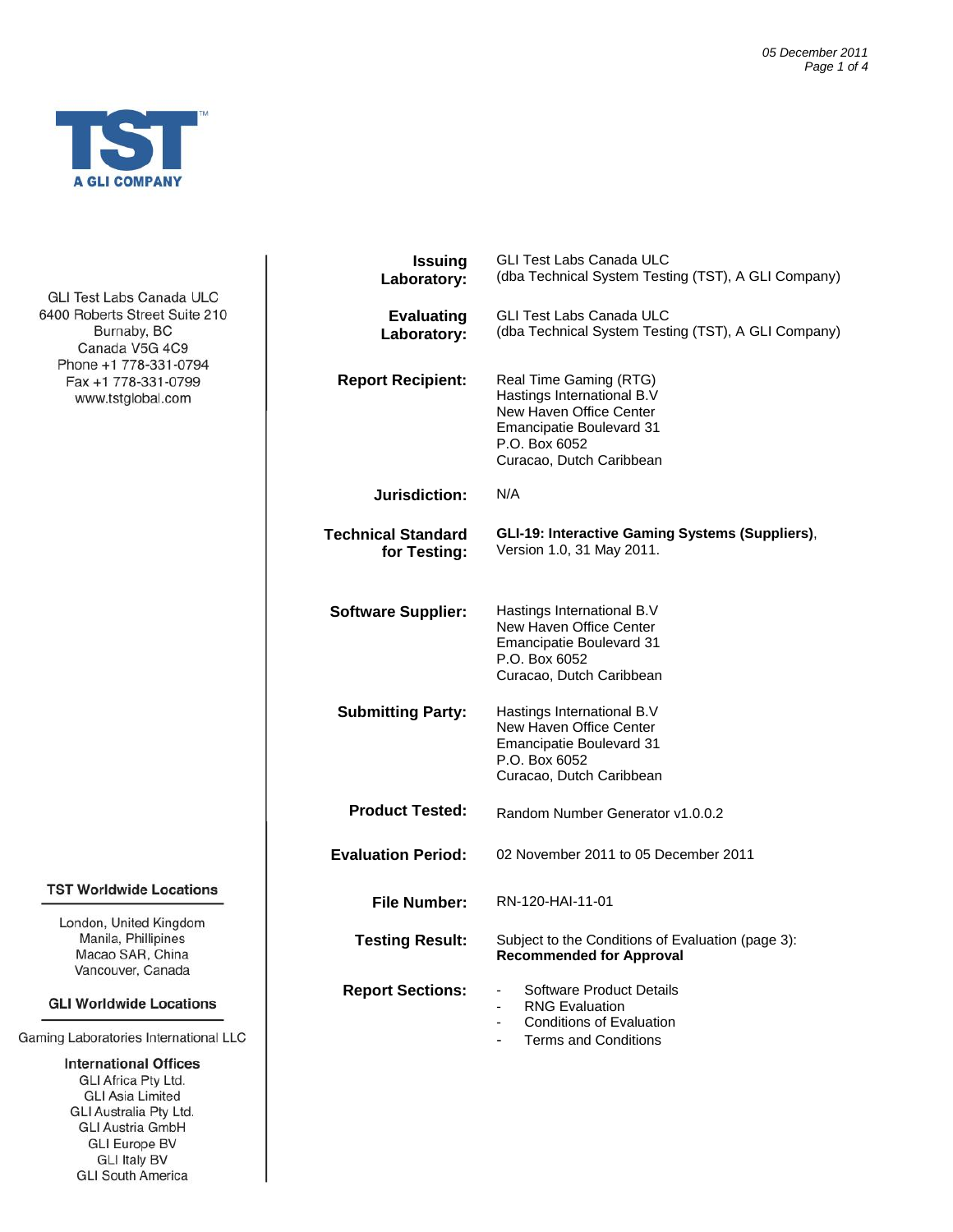

GLI Test Labs Canada ULC 6400 Roberts Street Suite 210 Burnaby, BC Canada V5G 4C9 Phone +1 778-331-0794 Fax +1 778-331-0799 www.tstglobal.com

# **TST Worldwide Locations**

London, United Kingdom Manila, Phillipines Macao SAR, China Vancouver, Canada

#### **GLI Worldwide Locations**

Gaming Laboratories International LLC

**International Offices GLI Africa Pty Ltd. GLI Asia Limited** GLI Australia Pty Ltd. **GLI Austria GmbH GLI Europe BV GLI Italy BV GLI South America** 

| <b>Issuing</b><br>Laboratory:             | <b>GLI Test Labs Canada ULC</b><br>(dba Technical System Testing (TST), A GLI Company)                                                                          |  |
|-------------------------------------------|-----------------------------------------------------------------------------------------------------------------------------------------------------------------|--|
| <b>Evaluating</b><br>Laboratory:          | <b>GLI Test Labs Canada ULC</b><br>(dba Technical System Testing (TST), A GLI Company)                                                                          |  |
| <b>Report Recipient:</b>                  | Real Time Gaming (RTG)<br>Hastings International B.V<br>New Haven Office Center<br><b>Emancipatie Boulevard 31</b><br>P.O. Box 6052<br>Curacao, Dutch Caribbean |  |
| Jurisdiction:                             | N/A                                                                                                                                                             |  |
| <b>Technical Standard</b><br>for Testing: | GLI-19: Interactive Gaming Systems (Suppliers),<br>Version 1.0, 31 May 2011.                                                                                    |  |
| <b>Software Supplier:</b>                 | Hastings International B.V<br>New Haven Office Center<br><b>Emancipatie Boulevard 31</b><br>P.O. Box 6052<br>Curacao, Dutch Caribbean                           |  |
| <b>Submitting Party:</b>                  | Hastings International B.V<br>New Haven Office Center<br><b>Emancipatie Boulevard 31</b><br>P.O. Box 6052<br>Curacao, Dutch Caribbean                           |  |
| <b>Product Tested:</b>                    | Random Number Generator v1.0.0.2                                                                                                                                |  |
| <b>Evaluation Period:</b>                 | 02 November 2011 to 05 December 2011                                                                                                                            |  |
| <b>File Number:</b>                       | RN-120-HAI-11-01                                                                                                                                                |  |
| <b>Testing Result:</b>                    | Subject to the Conditions of Evaluation (page 3):<br><b>Recommended for Approval</b>                                                                            |  |
| <b>Report Sections:</b>                   | Software Product Details<br><b>RNG Evaluation</b><br><b>Conditions of Evaluation</b><br><b>Terms and Conditions</b>                                             |  |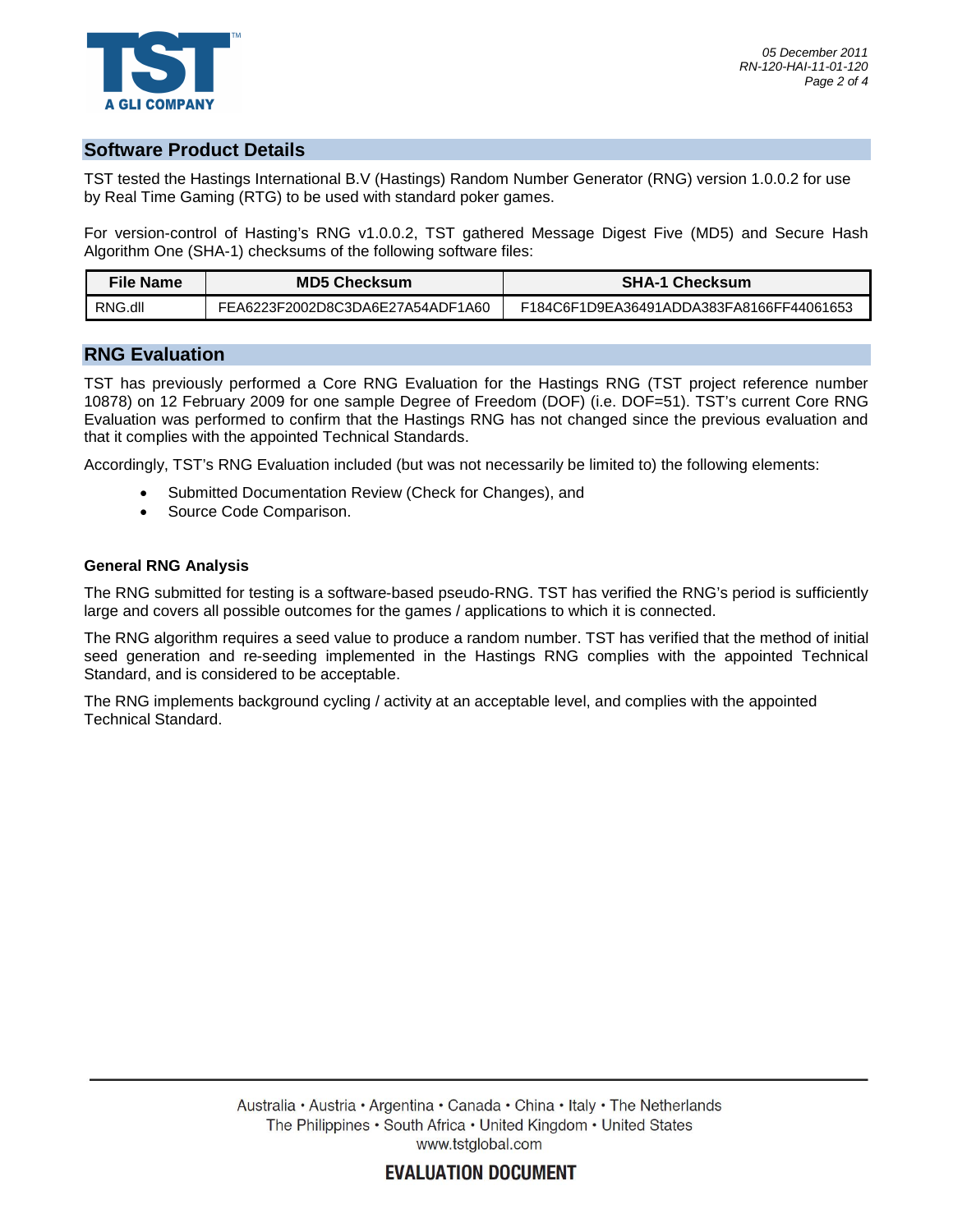

# **Software Product Details**

TST tested the Hastings International B.V (Hastings) Random Number Generator (RNG) version 1.0.0.2 for use by Real Time Gaming (RTG) to be used with standard poker games.

For version-control of Hasting's RNG v1.0.0.2, TST gathered Message Digest Five (MD5) and Secure Hash Algorithm One (SHA-1) checksums of the following software files:

| File Name | <b>MD5 Checksum</b>              | <b>SHA-1 Checksum</b>                    |
|-----------|----------------------------------|------------------------------------------|
| RNG.dll   | FEA6223F2002D8C3DA6E27A54ADF1A60 | F184C6F1D9EA36491ADDA383FA8166FF44061653 |

### **RNG Evaluation**

TST has previously performed a Core RNG Evaluation for the Hastings RNG (TST project reference number 10878) on 12 February 2009 for one sample Degree of Freedom (DOF) (i.e. DOF=51). TST's current Core RNG Evaluation was performed to confirm that the Hastings RNG has not changed since the previous evaluation and that it complies with the appointed Technical Standards.

Accordingly, TST's RNG Evaluation included (but was not necessarily be limited to) the following elements:

- · Submitted Documentation Review (Check for Changes), and
- · Source Code Comparison.

#### **General RNG Analysis**

The RNG submitted for testing is a software-based pseudo-RNG. TST has verified the RNG's period is sufficiently large and covers all possible outcomes for the games / applications to which it is connected.

The RNG algorithm requires a seed value to produce a random number. TST has verified that the method of initial seed generation and re-seeding implemented in the Hastings RNG complies with the appointed Technical Standard, and is considered to be acceptable.

The RNG implements background cycling / activity at an acceptable level, and complies with the appointed Technical Standard.

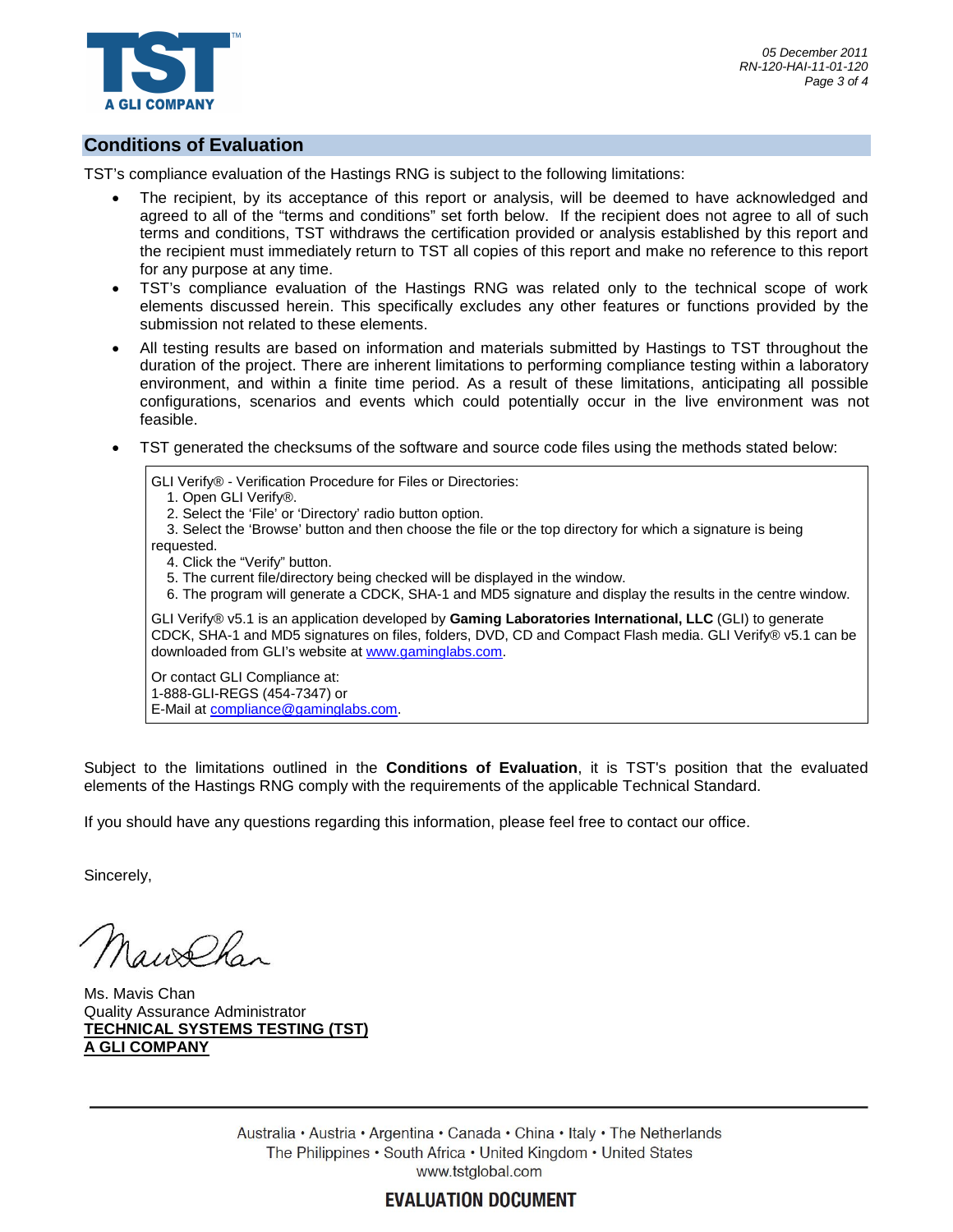

## **Conditions of Evaluation**

TST's compliance evaluation of the Hastings RNG is subject to the following limitations:

- The recipient, by its acceptance of this report or analysis, will be deemed to have acknowledged and agreed to all of the "terms and conditions" set forth below. If the recipient does not agree to all of such terms and conditions, TST withdraws the certification provided or analysis established by this report and the recipient must immediately return to TST all copies of this report and make no reference to this report for any purpose at any time.
- · TST's compliance evaluation of the Hastings RNG was related only to the technical scope of work elements discussed herein. This specifically excludes any other features or functions provided by the submission not related to these elements.
- · All testing results are based on information and materials submitted by Hastings to TST throughout the duration of the project. There are inherent limitations to performing compliance testing within a laboratory environment, and within a finite time period. As a result of these limitations, anticipating all possible configurations, scenarios and events which could potentially occur in the live environment was not feasible.
- · TST generated the checksums of the software and source code files using the methods stated below:

GLI Verify® - Verification Procedure for Files or Directories: 1. Open GLI Verify®. 2. Select the 'File' or 'Directory' radio button option. 3. Select the 'Browse' button and then choose the file or the top directory for which a signature is being requested. 4. Click the "Verify" button. 5. The current file/directory being checked will be displayed in the window. 6. The program will generate a CDCK, SHA-1 and MD5 signature and display the results in the centre window. GLI Verify® v5.1 is an application developed by **Gaming Laboratories International, LLC** (GLI) to generate CDCK, SHA-1 and MD5 signatures on files, folders, DVD, CD and Compact Flash media. GLI Verify® v5.1 can be downloaded from GLI's website at [www.gaminglabs.com.](www.gaminglabs.com) Or contact GLI Compliance at: 1-888-GLI-REGS (454-7347) or

E-Mail at [compliance@gaminglabs.com.](mailto:compliance@gaminglabs.com.)

Subject to the limitations outlined in the **Conditions of Evaluation**, it is TST's position that the evaluated elements of the Hastings RNG comply with the requirements of the applicable Technical Standard.

If you should have any questions regarding this information, please feel free to contact our office.

Sincerely,

 $\mathcal{Q}$ 

Ms. Mavis Chan Quality Assurance Administrator **TECHNICAL SYSTEMS TESTING (TST) A GLI COMPANY**

> Australia • Austria • Argentina • Canada • China • Italy • The Netherlands The Philippines • South Africa • United Kingdom • United States www.tstglobal.com

> > **EVALUATION DOCUMENT**